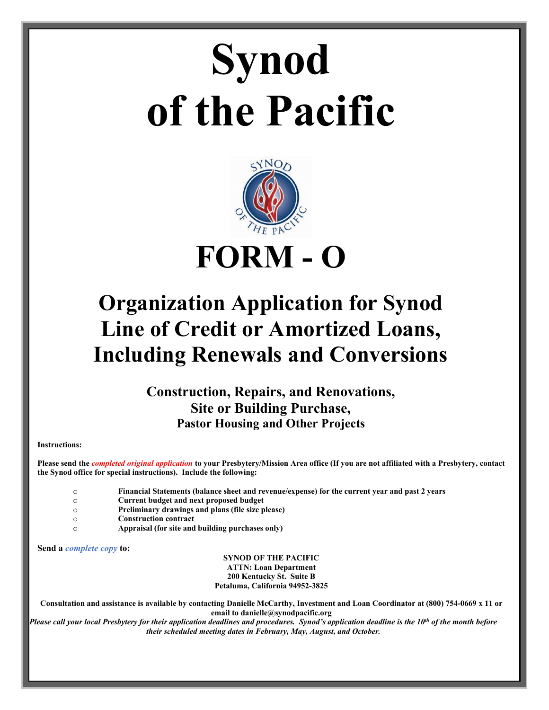# **Synod of the Pacific**



# **Organization Application for Synod Line of Credit or Amortized Loans, Including Renewals and Conversions**

**Construction, Repairs, and Renovations, Site or Building Purchase, Pastor Housing and Other Projects**

**Instructions:**

**Please send the** *completed original application* **to your Presbytery/Mission Area office (If you are not affiliated with a Presbytery, contact the Synod office for special instructions). Include the following:**

o **Financial Statements (balance sheet and revenue/expense) for the current year and past 2 years**

o **Current budget and next proposed budget**

- o **Preliminary drawings and plans (file size please)**
- o **Construction contract**
- o **Appraisal (for site and building purchases only)**

**Send a** *complete copy* **to:**

**SYNOD OF THE PACIFIC ATTN: Loan Department 200 Kentucky St. Suite B Petaluma, California 94952-3825**

**Consultation and assistance is available by contacting Danielle McCarthy, Investment and Loan Coordinator at (800) 754-0669 x 11 or email to danielle@synodpacific.org**

*Please call your local Presbytery for their application deadlines and procedures. Synod's application deadline is the 10th of the month before their scheduled meeting dates in February, May, August, and October.*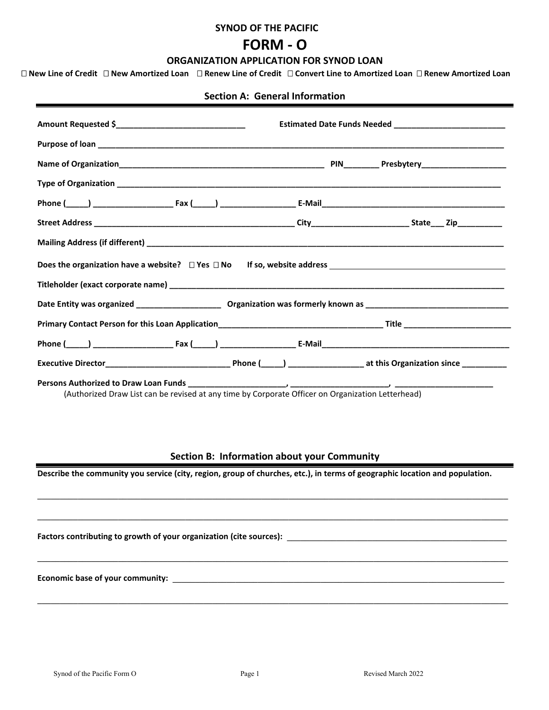#### **SYNOD OF THE PACIFIC**

# **FORM - O**

## **ORGANIZATION APPLICATION FOR SYNOD LOAN**

**New Line of Credit New Amortized Loan Renew Line of Credit Convert Line to Amortized Loan Renew Amortized Loan** 

## **Section A: General Information**

| (Authorized Draw List can be revised at any time by Corporate Officer on Organization Letterhead) |
|---------------------------------------------------------------------------------------------------|

# **Section B: Information about your Community**

**\_\_\_\_\_\_\_\_\_\_\_\_\_\_\_\_\_\_\_\_\_\_\_\_\_\_\_\_\_\_\_\_\_\_\_\_\_\_\_\_\_\_\_\_\_\_\_\_\_\_\_\_\_\_\_\_\_\_\_\_\_\_\_\_\_\_\_\_\_\_\_\_\_\_\_\_\_\_\_\_\_\_\_\_\_\_\_\_\_\_\_\_\_\_\_\_\_\_\_\_\_\_\_\_\_**

**\_\_\_\_\_\_\_\_\_\_\_\_\_\_\_\_\_\_\_\_\_\_\_\_\_\_\_\_\_\_\_\_\_\_\_\_\_\_\_\_\_\_\_\_\_\_\_\_\_\_\_\_\_\_\_\_\_\_\_\_\_\_\_\_\_\_\_\_\_\_\_\_\_\_\_\_\_\_\_\_\_\_\_\_\_\_\_\_\_\_\_\_\_\_\_\_\_\_\_\_\_\_\_\_\_**

**\_\_\_\_\_\_\_\_\_\_\_\_\_\_\_\_\_\_\_\_\_\_\_\_\_\_\_\_\_\_\_\_\_\_\_\_\_\_\_\_\_\_\_\_\_\_\_\_\_\_\_\_\_\_\_\_\_\_\_\_\_\_\_\_\_\_\_\_\_\_\_\_\_\_\_\_\_\_\_\_\_\_\_\_\_\_\_\_\_\_\_\_\_\_\_\_\_\_\_\_\_\_\_\_\_**

**\_\_\_\_\_\_\_\_\_\_\_\_\_\_\_\_\_\_\_\_\_\_\_\_\_\_\_\_\_\_\_\_\_\_\_\_\_\_\_\_\_\_\_\_\_\_\_\_\_\_\_\_\_\_\_\_\_\_\_\_\_\_\_\_\_\_\_\_\_\_\_\_\_\_\_\_\_\_\_\_\_\_\_\_\_\_\_\_\_\_\_\_\_\_\_\_\_\_\_\_\_\_\_\_\_**

**Describe the community you service (city, region, group of churches, etc.), in terms of geographic location and population.**

Factors contributing to growth of your organization (cite sources):

**Economic base of your community: \_\_\_\_\_\_\_\_\_\_\_\_\_\_\_\_\_\_\_\_\_\_\_\_\_\_\_\_\_\_\_\_\_\_\_\_\_\_\_\_\_\_\_\_\_\_\_\_\_\_\_\_\_\_\_\_\_\_\_\_\_\_\_\_\_\_\_\_\_\_\_\_\_\_**

eri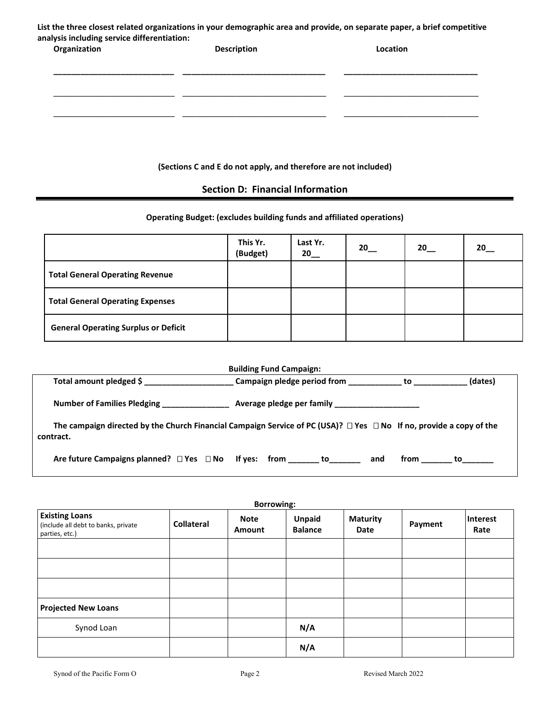| List the three closest related organizations in your demographic area and provide, on separate paper, a brief competitive |
|---------------------------------------------------------------------------------------------------------------------------|
| analysis including service differentiation:                                                                               |

| Organization | <b>Description</b> | Location |
|--------------|--------------------|----------|
|              |                    |          |
|              |                    |          |
|              |                    |          |

## **(Sections C and E do not apply, and therefore are not included)**

# **Section D: Financial Information**

# **Operating Budget: (excludes building funds and affiliated operations)**

|                                             | This Yr.<br>(Budget) | Last Yr.<br>20 | 20 | 20 | 20 |
|---------------------------------------------|----------------------|----------------|----|----|----|
| <b>Total General Operating Revenue</b>      |                      |                |    |    |    |
| <b>Total General Operating Expenses</b>     |                      |                |    |    |    |
| <b>General Operating Surplus or Deficit</b> |                      |                |    |    |    |

| <b>Building Fund Campaign:</b>                                                                                                             |                                                         |                   |  |  |
|--------------------------------------------------------------------------------------------------------------------------------------------|---------------------------------------------------------|-------------------|--|--|
| Total amount pledged \$                                                                                                                    | Campaign pledge period from ______________ to _________ | (dates)           |  |  |
| <b>Number of Families Pledging</b>                                                                                                         |                                                         |                   |  |  |
| The campaign directed by the Church Financial Campaign Service of PC (USA)? $\Box$ Yes $\Box$ No If no, provide a copy of the<br>contract. |                                                         |                   |  |  |
| Are future Campaigns planned? $\Box$ Yes $\Box$ No If yes: from ________ to                                                                |                                                         | from<br>to<br>and |  |  |

| <b>Borrowing:</b>                                                              |            |                       |                                 |                         |         |                  |
|--------------------------------------------------------------------------------|------------|-----------------------|---------------------------------|-------------------------|---------|------------------|
| <b>Existing Loans</b><br>(include all debt to banks, private<br>parties, etc.) | Collateral | <b>Note</b><br>Amount | <b>Unpaid</b><br><b>Balance</b> | <b>Maturity</b><br>Date | Payment | Interest<br>Rate |
|                                                                                |            |                       |                                 |                         |         |                  |
|                                                                                |            |                       |                                 |                         |         |                  |
|                                                                                |            |                       |                                 |                         |         |                  |
| <b>Projected New Loans</b>                                                     |            |                       |                                 |                         |         |                  |
| Synod Loan                                                                     |            |                       | N/A                             |                         |         |                  |
|                                                                                |            |                       | N/A                             |                         |         |                  |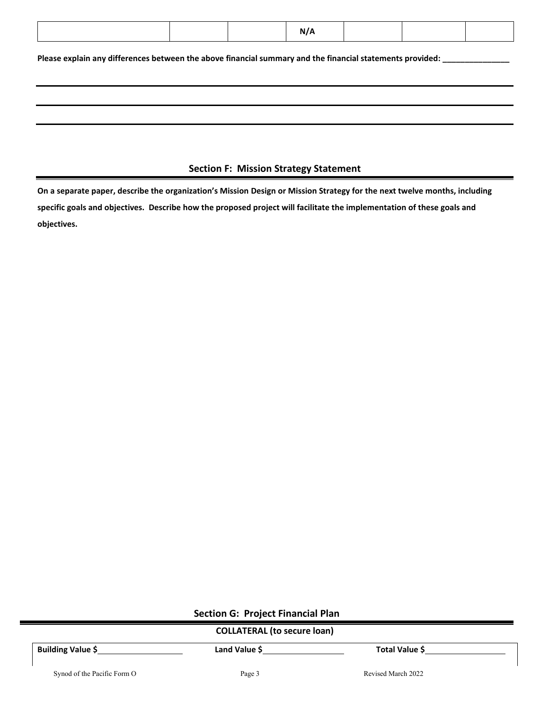|--|

**Please explain any differences between the above financial summary and the financial statements provided: \_\_\_\_\_\_\_\_\_\_\_\_\_\_\_**

# **Section F: Mission Strategy Statement**

**On a separate paper, describe the organization's Mission Design or Mission Strategy for the next twelve months, including specific goals and objectives. Describe how the proposed project will facilitate the implementation of these goals and objectives.**

**Section G: Project Financial Plan**

|  | <b>COLLATERAL (to secure loan)</b> |
|--|------------------------------------|
|--|------------------------------------|

**Building Value \$** Land Value \$ **Land Value \$ Total Value \$** 

Synod of the Pacific Form O Page 3 Revised March 2022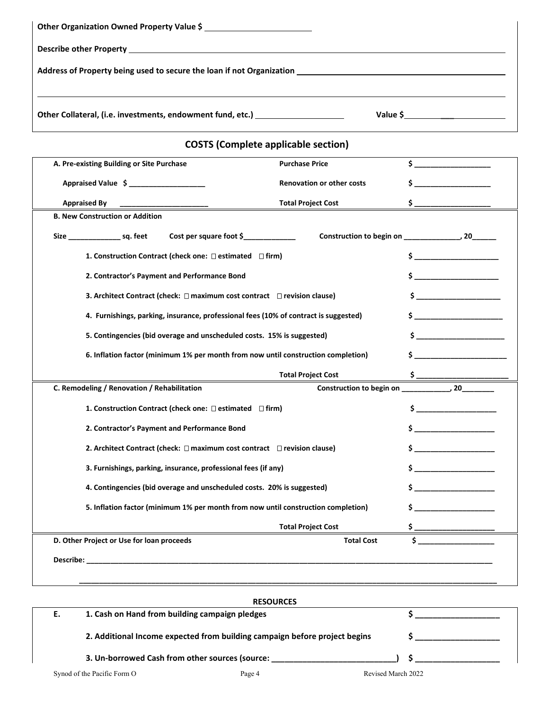| Address of Property being used to secure the loan if not Organization entitled and the material control of the |                                            |                                                                                                                                                                                                                                                                                               |
|----------------------------------------------------------------------------------------------------------------|--------------------------------------------|-----------------------------------------------------------------------------------------------------------------------------------------------------------------------------------------------------------------------------------------------------------------------------------------------|
| Other Collateral, (i.e. investments, endowment fund, etc.) _____________________                               |                                            | Value $\frac{1}{2}$ and $\frac{1}{2}$ and $\frac{1}{2}$ and $\frac{1}{2}$ and $\frac{1}{2}$ and $\frac{1}{2}$ and $\frac{1}{2}$ and $\frac{1}{2}$ and $\frac{1}{2}$ and $\frac{1}{2}$ and $\frac{1}{2}$ and $\frac{1}{2}$ and $\frac{1}{2}$ and $\frac{1}{2}$ and $\frac{1}{2}$ and $\frac{1$ |
|                                                                                                                | <b>COSTS (Complete applicable section)</b> |                                                                                                                                                                                                                                                                                               |
| A. Pre-existing Building or Site Purchase                                                                      | <b>Purchase Price</b>                      | $\mathsf{S}$                                                                                                                                                                                                                                                                                  |
| Appraised Value \$ ______________________                                                                      | Renovation or other costs                  | $\mathsf{s}$ _________                                                                                                                                                                                                                                                                        |
| <b>Appraised By</b>                                                                                            | <b>Total Project Cost</b>                  |                                                                                                                                                                                                                                                                                               |
| <b>B. New Construction or Addition</b>                                                                         |                                            |                                                                                                                                                                                                                                                                                               |
|                                                                                                                |                                            |                                                                                                                                                                                                                                                                                               |
| 1. Construction Contract (check one: □ estimated □ firm)                                                       |                                            | $\sim$                                                                                                                                                                                                                                                                                        |
| 2. Contractor's Payment and Performance Bond                                                                   |                                            | $\sim$                                                                                                                                                                                                                                                                                        |
| 3. Architect Contract (check: $\Box$ maximum cost contract $\Box$ revision clause)                             |                                            | $\mathsf{s}$                                                                                                                                                                                                                                                                                  |
| 4. Furnishings, parking, insurance, professional fees (10% of contract is suggested)                           |                                            | $\sim$                                                                                                                                                                                                                                                                                        |
| 5. Contingencies (bid overage and unscheduled costs. 15% is suggested)                                         |                                            | $\mathsf{s}$ and $\mathsf{r}$                                                                                                                                                                                                                                                                 |
| 6. Inflation factor (minimum 1% per month from now until construction completion)                              |                                            |                                                                                                                                                                                                                                                                                               |
|                                                                                                                | <b>Total Project Cost</b>                  |                                                                                                                                                                                                                                                                                               |
| C. Remodeling / Renovation / Rehabilitation                                                                    |                                            |                                                                                                                                                                                                                                                                                               |
| 1. Construction Contract (check one: $\Box$ estimated $\Box$ firm)                                             |                                            |                                                                                                                                                                                                                                                                                               |
| 2. Contractor's Payment and Performance Bond                                                                   |                                            |                                                                                                                                                                                                                                                                                               |
| 2. Architect Contract (check: $\Box$ maximum cost contract $\Box$ revision clause)                             |                                            | $\frac{1}{2}$                                                                                                                                                                                                                                                                                 |
| 3. Furnishings, parking, insurance, professional fees (if any)                                                 |                                            |                                                                                                                                                                                                                                                                                               |
| 4. Contingencies (bid overage and unscheduled costs. 20% is suggested)                                         |                                            | $\mathsf{s}$ $\qquad \qquad$                                                                                                                                                                                                                                                                  |
| 5. Inflation factor (minimum 1% per month from now until construction completion)                              |                                            | <u> 1990 - Johann Barnett, f</u>                                                                                                                                                                                                                                                              |
|                                                                                                                | <b>Total Project Cost</b>                  |                                                                                                                                                                                                                                                                                               |
| D. Other Project or Use for loan proceeds                                                                      | <b>Total Cost</b>                          | Ś.                                                                                                                                                                                                                                                                                            |
|                                                                                                                |                                            |                                                                                                                                                                                                                                                                                               |

|    |                                                 | <b>RESOURCES</b>                                                           |                    |  |
|----|-------------------------------------------------|----------------------------------------------------------------------------|--------------------|--|
| Е. | 1. Cash on Hand from building campaign pledges  |                                                                            |                    |  |
|    |                                                 | 2. Additional Income expected from building campaign before project begins |                    |  |
|    | 3. Un-borrowed Cash from other sources (source: |                                                                            |                    |  |
|    | Synod of the Pacific Form O                     | Page 4                                                                     | Revised March 2022 |  |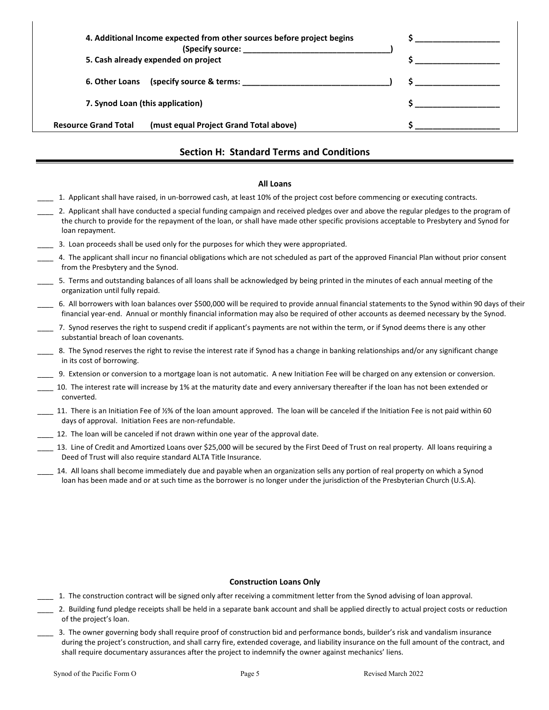| 4. Additional Income expected from other sources before project begins |                                                                                                                                                                                                                                                                                                  |
|------------------------------------------------------------------------|--------------------------------------------------------------------------------------------------------------------------------------------------------------------------------------------------------------------------------------------------------------------------------------------------|
| 5. Cash already expended on project                                    |                                                                                                                                                                                                                                                                                                  |
|                                                                        | $\mathsf{S}$ and $\mathsf{S}$ and $\mathsf{S}$ are $\mathsf{S}$ and $\mathsf{S}$ and $\mathsf{S}$ are $\mathsf{S}$ and $\mathsf{S}$ are $\mathsf{S}$ and $\mathsf{S}$ are $\mathsf{S}$ and $\mathsf{S}$ are $\mathsf{S}$ and $\mathsf{S}$ are $\mathsf{S}$ and $\mathsf{S}$ are $\mathsf{S}$ and |
| 7. Synod Loan (this application)                                       |                                                                                                                                                                                                                                                                                                  |
| (must equal Project Grand Total above)<br><b>Resource Grand Total</b>  |                                                                                                                                                                                                                                                                                                  |

# **Section H: Standard Terms and Conditions**

#### **All Loans**

- \_\_\_\_ 1. Applicant shall have raised, in un-borrowed cash, at least 10% of the project cost before commencing or executing contracts.
- 2. Applicant shall have conducted a special funding campaign and received pledges over and above the regular pledges to the program of the church to provide for the repayment of the loan, or shall have made other specific provisions acceptable to Presbytery and Synod for loan repayment.
- \_\_\_\_ 3. Loan proceeds shall be used only for the purposes for which they were appropriated.
- \_\_\_\_ 4. The applicant shall incur no financial obligations which are not scheduled as part of the approved Financial Plan without prior consent from the Presbytery and the Synod.
- \_\_\_\_ 5. Terms and outstanding balances of all loans shall be acknowledged by being printed in the minutes of each annual meeting of the organization until fully repaid.
- \_\_\_\_ 6. All borrowers with loan balances over \$500,000 will be required to provide annual financial statements to the Synod within 90 days of their financial year-end. Annual or monthly financial information may also be required of other accounts as deemed necessary by the Synod.
- \_\_\_\_ 7. Synod reserves the right to suspend credit if applicant's payments are not within the term, or if Synod deems there is any other substantial breach of loan covenants.
- \_\_\_\_ 8. The Synod reserves the right to revise the interest rate if Synod has a change in banking relationships and/or any significant change in its cost of borrowing.
- \_\_\_\_ 9. Extension or conversion to a mortgage loan is not automatic. A new Initiation Fee will be charged on any extension or conversion.
- \_\_\_\_ 10. The interest rate will increase by 1% at the maturity date and every anniversary thereafter if the loan has not been extended or converted.
- 11. There is an Initiation Fee of ½% of the loan amount approved. The loan will be canceled if the Initiation Fee is not paid within 60 days of approval. Initiation Fees are non-refundable.
- 12. The loan will be canceled if not drawn within one year of the approval date.
- 13. Line of Credit and Amortized Loans over \$25,000 will be secured by the First Deed of Trust on real property. All loans requiring a Deed of Trust will also require standard ALTA Title Insurance.
	- \_\_\_\_ 14. All loans shall become immediately due and payable when an organization sells any portion of real property on which a Synod loan has been made and or at such time as the borrower is no longer under the jurisdiction of the Presbyterian Church (U.S.A).

#### **Construction Loans Only**

- \_\_\_\_ 1. The construction contract will be signed only after receiving a commitment letter from the Synod advising of loan approval.
- 2. Building fund pledge receipts shall be held in a separate bank account and shall be applied directly to actual project costs or reduction of the project's loan.
- \_\_\_\_ 3. The owner governing body shall require proof of construction bid and performance bonds, builder's risk and vandalism insurance during the project's construction, and shall carry fire, extended coverage, and liability insurance on the full amount of the contract, and shall require documentary assurances after the project to indemnify the owner against mechanics' liens.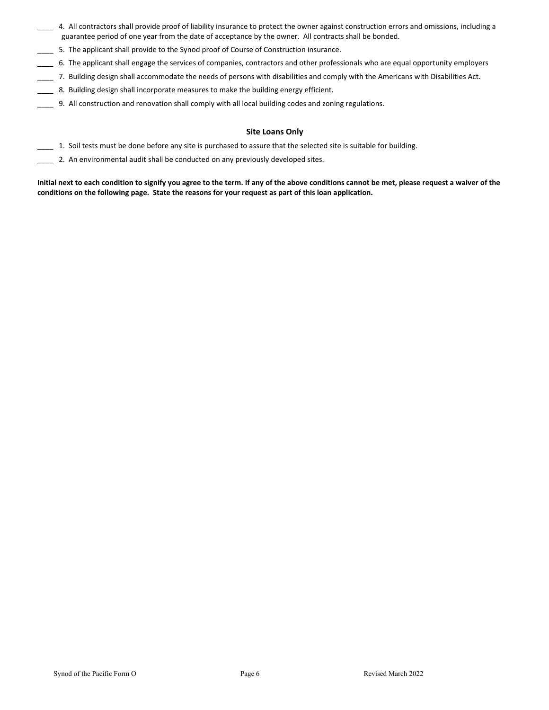- \_\_\_\_ 4. All contractors shall provide proof of liability insurance to protect the owner against construction errors and omissions, including a guarantee period of one year from the date of acceptance by the owner. All contracts shall be bonded.
- \_\_\_\_ 5. The applicant shall provide to the Synod proof of Course of Construction insurance.
- \_\_\_\_ 6. The applicant shall engage the services of companies, contractors and other professionals who are equal opportunity employers
- \_\_\_\_ 7. Building design shall accommodate the needs of persons with disabilities and comply with the Americans with Disabilities Act.
- 8. Building design shall incorporate measures to make the building energy efficient.
- \_\_\_\_ 9. All construction and renovation shall comply with all local building codes and zoning regulations.

#### **Site Loans Only**

- 1. Soil tests must be done before any site is purchased to assure that the selected site is suitable for building.
- \_\_\_\_ 2. An environmental audit shall be conducted on any previously developed sites.

**Initial next to each condition to signify you agree to the term. If any of the above conditions cannot be met, please request a waiver of the conditions on the following page. State the reasons for your request as part of this loan application.**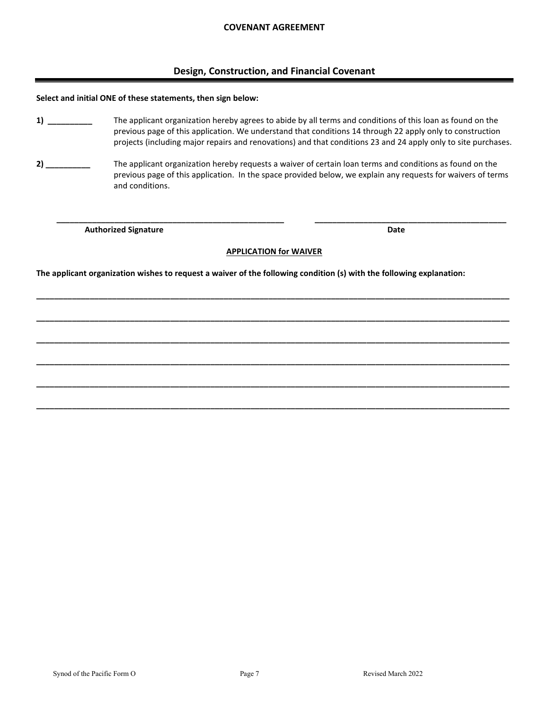# **Design, Construction, and Financial Covenant**

#### **Select and initial ONE of these statements, then sign below:**

- **1) \_\_\_\_\_\_\_\_\_\_** The applicant organization hereby agrees to abide by all terms and conditions of this loan as found on the previous page of this application. We understand that conditions 14 through 22 apply only to construction projects (including major repairs and renovations) and that conditions 23 and 24 apply only to site purchases.
- **2) \_\_\_\_\_\_\_\_\_\_** The applicant organization hereby requests a waiver of certain loan terms and conditions as found on the previous page of this application. In the space provided below, we explain any requests for waivers of terms and conditions.

**Authorized Signature Date 2018 19:30 19:30 19:30 19:30 19:30 19:30 19:30 19:30 19:30 19:30 19:30 19:30 19:30 19:30 19:30 19:30 19:30 19:30 19:30 19:30 19:30 19:30 19:30 19:30 19:30 19:30 19:30 19:30 19:30 19:30 19:30 19:3** 

## **APPLICATION for WAIVER**

**\_\_\_\_\_\_\_\_\_\_\_\_\_\_\_\_\_\_\_\_\_\_\_\_\_\_\_\_\_\_\_\_\_\_\_\_\_\_\_\_\_\_\_\_\_\_\_\_\_\_\_\_\_\_\_\_\_\_\_\_\_\_\_\_\_\_\_\_\_\_\_\_\_\_\_\_\_\_\_\_\_\_\_\_\_\_\_\_\_\_\_\_\_\_\_\_\_\_\_\_\_\_\_\_\_\_**

**\_\_\_\_\_\_\_\_\_\_\_\_\_\_\_\_\_\_\_\_\_\_\_\_\_\_\_\_\_\_\_\_\_\_\_\_\_\_\_\_\_\_\_\_\_\_\_\_\_\_\_\_\_\_\_\_\_\_\_\_\_\_\_\_\_\_\_\_\_\_\_\_\_\_\_\_\_\_\_\_\_\_\_\_\_\_\_\_\_\_\_\_\_\_\_\_\_\_\_\_\_\_\_\_\_\_**

**\_\_\_\_\_\_\_\_\_\_\_\_\_\_\_\_\_\_\_\_\_\_\_\_\_\_\_\_\_\_\_\_\_\_\_\_\_\_\_\_\_\_\_\_\_\_\_\_\_\_\_\_\_\_\_\_\_\_\_\_\_\_\_\_\_\_\_\_\_\_\_\_\_\_\_\_\_\_\_\_\_\_\_\_\_\_\_\_\_\_\_\_\_\_\_\_\_\_\_\_\_\_\_\_\_\_**

**\_\_\_\_\_\_\_\_\_\_\_\_\_\_\_\_\_\_\_\_\_\_\_\_\_\_\_\_\_\_\_\_\_\_\_\_\_\_\_\_\_\_\_\_\_\_\_\_\_\_\_\_\_\_\_\_\_\_\_\_\_\_\_\_\_\_\_\_\_\_\_\_\_\_\_\_\_\_\_\_\_\_\_\_\_\_\_\_\_\_\_\_\_\_\_\_\_\_\_\_\_\_\_\_\_\_**

**\_\_\_\_\_\_\_\_\_\_\_\_\_\_\_\_\_\_\_\_\_\_\_\_\_\_\_\_\_\_\_\_\_\_\_\_\_\_\_\_\_\_\_\_\_\_\_\_\_\_\_\_\_\_\_\_\_\_\_\_\_\_\_\_\_\_\_\_\_\_\_\_\_\_\_\_\_\_\_\_\_\_\_\_\_\_\_\_\_\_\_\_\_\_\_\_\_\_\_\_\_\_\_\_\_\_**

**\_\_\_\_\_\_\_\_\_\_\_\_\_\_\_\_\_\_\_\_\_\_\_\_\_\_\_\_\_\_\_\_\_\_\_\_\_\_\_\_\_\_\_\_\_\_\_\_\_\_\_\_\_\_\_\_\_\_\_\_\_\_\_\_\_\_\_\_\_\_\_\_\_\_\_\_\_\_\_\_\_\_\_\_\_\_\_\_\_\_\_\_\_\_\_\_\_\_\_\_\_\_\_\_\_\_**

 **\_\_\_\_\_\_\_\_\_\_\_\_\_\_\_\_\_\_\_\_\_\_\_\_\_\_\_\_\_\_\_\_\_\_\_\_\_\_\_\_\_\_\_\_\_\_\_\_\_\_\_ \_\_\_\_\_\_\_\_\_\_\_\_\_\_\_\_\_\_\_\_\_\_\_\_\_\_\_\_\_\_\_\_\_\_\_\_\_\_\_\_\_\_\_** 

**The applicant organization wishes to request a waiver of the following condition (s) with the following explanation:**